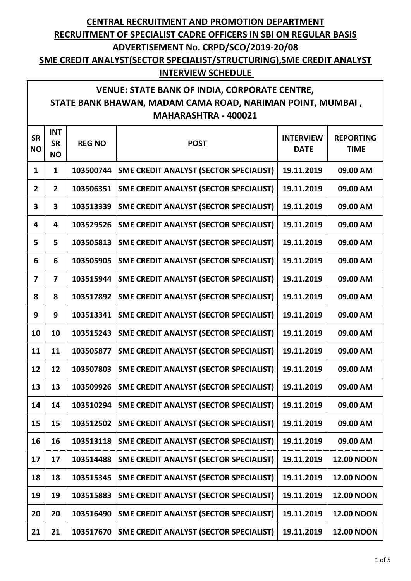**SME CREDIT ANALYST(SECTOR SPECIALIST/STRUCTURING),SME CREDIT ANALYST INTERVIEW SCHEDULE** 

#### **VENUE: STATE BANK OF INDIA, CORPORATE CENTRE, STATE BANK BHAWAN, MADAM CAMA ROAD, NARIMAN POINT, MUMBAI , MAHARASHTRA - 400021**

| <b>SR</b><br><b>NO</b>  | <b>INT</b><br><b>SR</b><br><b>NO</b> | <b>REG NO</b> | <b>POST</b>                                   | <b>INTERVIEW</b><br><b>DATE</b> | <b>REPORTING</b><br><b>TIME</b> |
|-------------------------|--------------------------------------|---------------|-----------------------------------------------|---------------------------------|---------------------------------|
| $\mathbf{1}$            | $\mathbf{1}$                         | 103500744     | <b>SME CREDIT ANALYST (SECTOR SPECIALIST)</b> | 19.11.2019                      | 09.00 AM                        |
| $\overline{2}$          | $\overline{2}$                       | 103506351     | <b>SME CREDIT ANALYST (SECTOR SPECIALIST)</b> | 19.11.2019                      | 09.00 AM                        |
| 3                       | $\overline{\mathbf{3}}$              | 103513339     | <b>SME CREDIT ANALYST (SECTOR SPECIALIST)</b> | 19.11.2019                      | 09.00 AM                        |
| 4                       | 4                                    | 103529526     | <b>SME CREDIT ANALYST (SECTOR SPECIALIST)</b> | 19.11.2019                      | 09.00 AM                        |
| 5                       | 5                                    | 103505813     | <b>SME CREDIT ANALYST (SECTOR SPECIALIST)</b> | 19.11.2019                      | 09.00 AM                        |
| 6                       | 6                                    | 103505905     | <b>SME CREDIT ANALYST (SECTOR SPECIALIST)</b> | 19.11.2019                      | 09.00 AM                        |
| $\overline{\mathbf{z}}$ | $\overline{7}$                       | 103515944     | <b>SME CREDIT ANALYST (SECTOR SPECIALIST)</b> | 19.11.2019                      | 09.00 AM                        |
| 8                       | 8                                    | 103517892     | <b>SME CREDIT ANALYST (SECTOR SPECIALIST)</b> | 19.11.2019                      | 09.00 AM                        |
| 9                       | 9                                    | 103513341     | <b>SME CREDIT ANALYST (SECTOR SPECIALIST)</b> | 19.11.2019                      | 09.00 AM                        |
| 10                      | 10                                   | 103515243     | <b>SME CREDIT ANALYST (SECTOR SPECIALIST)</b> | 19.11.2019                      | 09.00 AM                        |
| 11                      | 11                                   | 103505877     | <b>SME CREDIT ANALYST (SECTOR SPECIALIST)</b> | 19.11.2019                      | 09.00 AM                        |
| 12                      | 12                                   | 103507803     | <b>SME CREDIT ANALYST (SECTOR SPECIALIST)</b> | 19.11.2019                      | 09.00 AM                        |
| 13                      | 13                                   | 103509926     | <b>SME CREDIT ANALYST (SECTOR SPECIALIST)</b> | 19.11.2019                      | 09.00 AM                        |
| 14                      | 14                                   | 103510294     | <b>SME CREDIT ANALYST (SECTOR SPECIALIST)</b> | 19.11.2019                      | 09.00 AM                        |
| 15                      | 15                                   | 103512502     | <b>SME CREDIT ANALYST (SECTOR SPECIALIST)</b> | 19.11.2019                      | 09.00 AM                        |
| 16                      | 16                                   | 103513118     | <b>SME CREDIT ANALYST (SECTOR SPECIALIST)</b> | 19.11.2019                      | 09.00 AM                        |
| 17                      | 17                                   | 103514488     | <b>SME CREDIT ANALYST (SECTOR SPECIALIST)</b> | 19.11.2019                      | <b>12.00 NOON</b>               |
| 18                      | 18                                   | 103515345     | <b>SME CREDIT ANALYST (SECTOR SPECIALIST)</b> | 19.11.2019                      | <b>12.00 NOON</b>               |
| 19                      | 19                                   | 103515883     | <b>SME CREDIT ANALYST (SECTOR SPECIALIST)</b> | 19.11.2019                      | <b>12.00 NOON</b>               |
| 20                      | 20                                   | 103516490     | <b>SME CREDIT ANALYST (SECTOR SPECIALIST)</b> | 19.11.2019                      | <b>12.00 NOON</b>               |
| 21                      | 21                                   | 103517670     | <b>SME CREDIT ANALYST (SECTOR SPECIALIST)</b> | 19.11.2019                      | <b>12.00 NOON</b>               |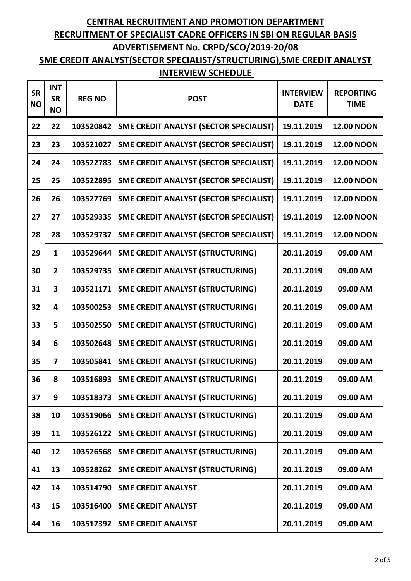| <b>SR</b><br><b>NO</b> | <b>INT</b><br><b>SR</b><br><b>NO</b> | <b>REG NO</b> | <b>POST</b>                                   | <b>INTERVIEW</b><br><b>DATE</b> | <b>REPORTING</b><br><b>TIME</b> |
|------------------------|--------------------------------------|---------------|-----------------------------------------------|---------------------------------|---------------------------------|
| 22                     | 22                                   | 103520842     | SME CREDIT ANALYST (SECTOR SPECIALIST)        | 19.11.2019                      | <b>12.00 NOON</b>               |
| 23                     | 23                                   | 103521027     | <b>SME CREDIT ANALYST (SECTOR SPECIALIST)</b> | 19.11.2019                      | <b>12.00 NOON</b>               |
| 24                     | 24                                   | 103522783     | <b>SME CREDIT ANALYST (SECTOR SPECIALIST)</b> | 19.11.2019                      | <b>12.00 NOON</b>               |
| 25                     | 25                                   | 103522895     | <b>SME CREDIT ANALYST (SECTOR SPECIALIST)</b> | 19.11.2019                      | <b>12.00 NOON</b>               |
| 26                     | 26                                   | 103527769     | <b>SME CREDIT ANALYST (SECTOR SPECIALIST)</b> | 19.11.2019                      | <b>12.00 NOON</b>               |
| 27                     | 27                                   | 103529335     | <b>SME CREDIT ANALYST (SECTOR SPECIALIST)</b> | 19.11.2019                      | <b>12.00 NOON</b>               |
| 28                     | 28                                   | 103529737     | <b>SME CREDIT ANALYST (SECTOR SPECIALIST)</b> | 19.11.2019                      | <b>12.00 NOON</b>               |
| 29                     | 1                                    | 103529644     | <b>SME CREDIT ANALYST (STRUCTURING)</b>       | 20.11.2019                      | 09.00 AM                        |
| 30                     | $\overline{2}$                       | 103529735     | <b>SME CREDIT ANALYST (STRUCTURING)</b>       | 20.11.2019                      | 09.00 AM                        |
| 31                     | 3                                    | 103521171     | <b>SME CREDIT ANALYST (STRUCTURING)</b>       | 20.11.2019                      | 09.00 AM                        |
| 32                     | 4                                    | 103500253     | <b>SME CREDIT ANALYST (STRUCTURING)</b>       | 20.11.2019                      | 09.00 AM                        |
| 33                     | 5                                    | 103502550     | <b>SME CREDIT ANALYST (STRUCTURING)</b>       | 20.11.2019                      | 09.00 AM                        |
| 34                     | 6                                    | 103502648     | <b>SME CREDIT ANALYST (STRUCTURING)</b>       | 20.11.2019                      | 09.00 AM                        |
| 35                     | $\overline{7}$                       | 103505841     | <b>SME CREDIT ANALYST (STRUCTURING)</b>       | 20.11.2019                      | 09.00 AM                        |
| 36                     | 8                                    | 103516893     | <b>SME CREDIT ANALYST (STRUCTURING)</b>       | 20.11.2019                      | 09.00 AM                        |
| 37                     | 9                                    | 103518373     | <b>SME CREDIT ANALYST (STRUCTURING)</b>       | 20.11.2019                      | 09.00 AM                        |
| 38                     | 10                                   | 103519066     | <b>SME CREDIT ANALYST (STRUCTURING)</b>       | 20.11.2019                      | 09.00 AM                        |
| 39                     | 11                                   | 103526122     | <b>SME CREDIT ANALYST (STRUCTURING)</b>       | 20.11.2019                      | 09.00 AM                        |
| 40                     | 12                                   | 103526568     | <b>SME CREDIT ANALYST (STRUCTURING)</b>       | 20.11.2019                      | 09.00 AM                        |
| 41                     | 13                                   | 103528262     | <b>SME CREDIT ANALYST (STRUCTURING)</b>       | 20.11.2019                      | 09.00 AM                        |
| 42                     | 14                                   | 103514790     | <b>SME CREDIT ANALYST</b>                     | 20.11.2019                      | 09.00 AM                        |
| 43                     | 15                                   | 103516400     | <b>SME CREDIT ANALYST</b>                     | 20.11.2019                      | 09.00 AM                        |
| 44                     | 16                                   | 103517392     | <b>SME CREDIT ANALYST</b>                     | 20.11.2019                      | 09.00 AM                        |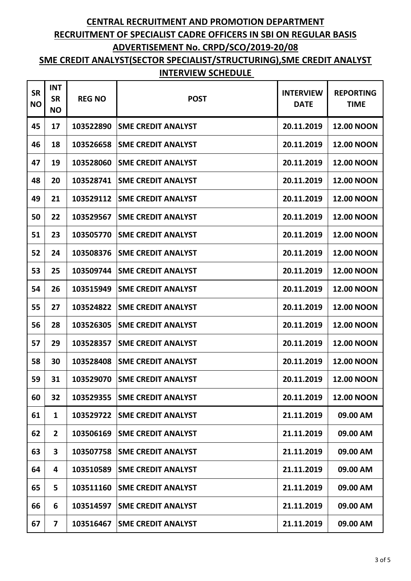| <b>SR</b><br><b>NO</b> | <b>INT</b><br><b>SR</b><br><b>NO</b> | <b>REG NO</b> | <b>POST</b>               | <b>INTERVIEW</b><br><b>DATE</b> | <b>REPORTING</b><br><b>TIME</b> |
|------------------------|--------------------------------------|---------------|---------------------------|---------------------------------|---------------------------------|
| 45                     | 17                                   | 103522890     | <b>SME CREDIT ANALYST</b> | 20.11.2019                      | <b>12.00 NOON</b>               |
| 46                     | 18                                   | 103526658     | <b>SME CREDIT ANALYST</b> | 20.11.2019                      | <b>12.00 NOON</b>               |
| 47                     | 19                                   | 103528060     | <b>SME CREDIT ANALYST</b> | 20.11.2019                      | <b>12.00 NOON</b>               |
| 48                     | 20                                   | 103528741     | <b>SME CREDIT ANALYST</b> | 20.11.2019                      | <b>12.00 NOON</b>               |
| 49                     | 21                                   | 103529112     | <b>SME CREDIT ANALYST</b> | 20.11.2019                      | <b>12.00 NOON</b>               |
| 50                     | 22                                   | 103529567     | <b>SME CREDIT ANALYST</b> | 20.11.2019                      | <b>12.00 NOON</b>               |
| 51                     | 23                                   | 103505770     | <b>SME CREDIT ANALYST</b> | 20.11.2019                      | <b>12.00 NOON</b>               |
| 52                     | 24                                   | 103508376     | <b>SME CREDIT ANALYST</b> | 20.11.2019                      | <b>12.00 NOON</b>               |
| 53                     | 25                                   | 103509744     | <b>SME CREDIT ANALYST</b> | 20.11.2019                      | <b>12.00 NOON</b>               |
| 54                     | 26                                   | 103515949     | <b>SME CREDIT ANALYST</b> | 20.11.2019                      | <b>12.00 NOON</b>               |
| 55                     | 27                                   | 103524822     | <b>SME CREDIT ANALYST</b> | 20.11.2019                      | <b>12.00 NOON</b>               |
| 56                     | 28                                   | 103526305     | <b>SME CREDIT ANALYST</b> | 20.11.2019                      | <b>12.00 NOON</b>               |
| 57                     | 29                                   | 103528357     | <b>SME CREDIT ANALYST</b> | 20.11.2019                      | <b>12.00 NOON</b>               |
| 58                     | 30                                   | 103528408     | <b>SME CREDIT ANALYST</b> | 20.11.2019                      | <b>12.00 NOON</b>               |
| 59                     | 31                                   | 103529070     | <b>SME CREDIT ANALYST</b> | 20.11.2019                      | <b>12.00 NOON</b>               |
| 60                     | 32                                   | 103529355     | <b>SME CREDIT ANALYST</b> | 20.11.2019                      | <b>12.00 NOON</b>               |
| 61                     | $\mathbf{1}$                         | 103529722     | <b>SME CREDIT ANALYST</b> | 21.11.2019                      | 09.00 AM                        |
| 62                     | $\overline{2}$                       | 103506169     | <b>SME CREDIT ANALYST</b> | 21.11.2019                      | 09.00 AM                        |
| 63                     | 3                                    | 103507758     | <b>SME CREDIT ANALYST</b> | 21.11.2019                      | 09.00 AM                        |
| 64                     | 4                                    | 103510589     | <b>SME CREDIT ANALYST</b> | 21.11.2019                      | 09.00 AM                        |
| 65                     | 5                                    | 103511160     | <b>SME CREDIT ANALYST</b> | 21.11.2019                      | 09.00 AM                        |
| 66                     | 6                                    | 103514597     | <b>SME CREDIT ANALYST</b> | 21.11.2019                      | 09.00 AM                        |
| 67                     | $\overline{\mathbf{z}}$              | 103516467     | <b>SME CREDIT ANALYST</b> | 21.11.2019                      | 09.00 AM                        |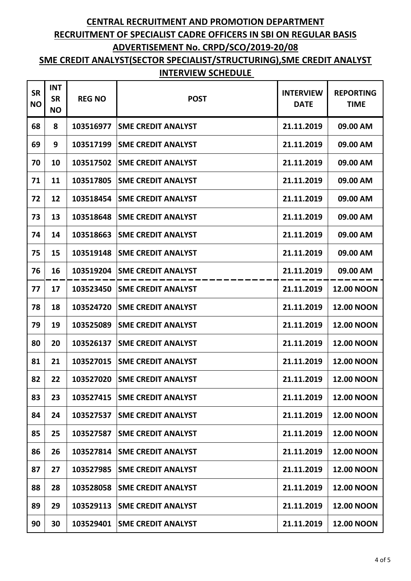| <b>SR</b><br><b>NO</b> | <b>INT</b><br><b>SR</b><br><b>NO</b> | <b>REG NO</b> | <b>POST</b>               | <b>INTERVIEW</b><br><b>DATE</b> | <b>REPORTING</b><br><b>TIME</b> |
|------------------------|--------------------------------------|---------------|---------------------------|---------------------------------|---------------------------------|
| 68                     | 8                                    | 103516977     | <b>SME CREDIT ANALYST</b> | 21.11.2019                      | 09.00 AM                        |
| 69                     | 9                                    | 103517199     | <b>SME CREDIT ANALYST</b> | 21.11.2019                      | 09.00 AM                        |
| 70                     | 10                                   | 103517502     | <b>SME CREDIT ANALYST</b> | 21.11.2019                      | 09.00 AM                        |
| 71                     | 11                                   | 103517805     | <b>SME CREDIT ANALYST</b> | 21.11.2019                      | 09.00 AM                        |
| 72                     | 12                                   | 103518454     | <b>SME CREDIT ANALYST</b> | 21.11.2019                      | 09.00 AM                        |
| 73                     | 13                                   | 103518648     | <b>SME CREDIT ANALYST</b> | 21.11.2019                      | 09.00 AM                        |
| 74                     | 14                                   | 103518663     | <b>SME CREDIT ANALYST</b> | 21.11.2019                      | 09.00 AM                        |
| 75                     | 15                                   | 103519148     | <b>SME CREDIT ANALYST</b> | 21.11.2019                      | 09.00 AM                        |
| 76                     | 16                                   | 103519204     | <b>SME CREDIT ANALYST</b> | 21.11.2019                      | 09.00 AM                        |
| 77                     | 17                                   | 103523450     | <b>SME CREDIT ANALYST</b> | 21.11.2019                      | <b>12.00 NOON</b>               |
| 78                     | 18                                   | 103524720     | <b>SME CREDIT ANALYST</b> | 21.11.2019                      | <b>12.00 NOON</b>               |
| 79                     | 19                                   | 103525089     | <b>SME CREDIT ANALYST</b> | 21.11.2019                      | <b>12.00 NOON</b>               |
| 80                     | 20                                   | 103526137     | <b>SME CREDIT ANALYST</b> | 21.11.2019                      | <b>12.00 NOON</b>               |
| 81                     | 21                                   | 103527015     | <b>SME CREDIT ANALYST</b> | 21.11.2019                      | <b>12.00 NOON</b>               |
| 82                     | 22                                   | 103527020     | <b>SME CREDIT ANALYST</b> | 21.11.2019                      | <b>12.00 NOON</b>               |
| 83                     | 23                                   | 103527415     | <b>SME CREDIT ANALYST</b> | 21.11.2019                      | <b>12.00 NOON</b>               |
| 84                     | 24                                   | 103527537     | <b>SME CREDIT ANALYST</b> | 21.11.2019                      | <b>12.00 NOON</b>               |
| 85                     | 25                                   | 103527587     | <b>SME CREDIT ANALYST</b> | 21.11.2019                      | <b>12.00 NOON</b>               |
| 86                     | 26                                   | 103527814     | <b>SME CREDIT ANALYST</b> | 21.11.2019                      | <b>12.00 NOON</b>               |
| 87                     | 27                                   | 103527985     | <b>SME CREDIT ANALYST</b> | 21.11.2019                      | <b>12.00 NOON</b>               |
| 88                     | 28                                   | 103528058     | <b>SME CREDIT ANALYST</b> | 21.11.2019                      | <b>12.00 NOON</b>               |
| 89                     | 29                                   | 103529113     | <b>SME CREDIT ANALYST</b> | 21.11.2019                      | <b>12.00 NOON</b>               |
| 90                     | 30                                   | 103529401     | <b>SME CREDIT ANALYST</b> | 21.11.2019                      | <b>12.00 NOON</b>               |